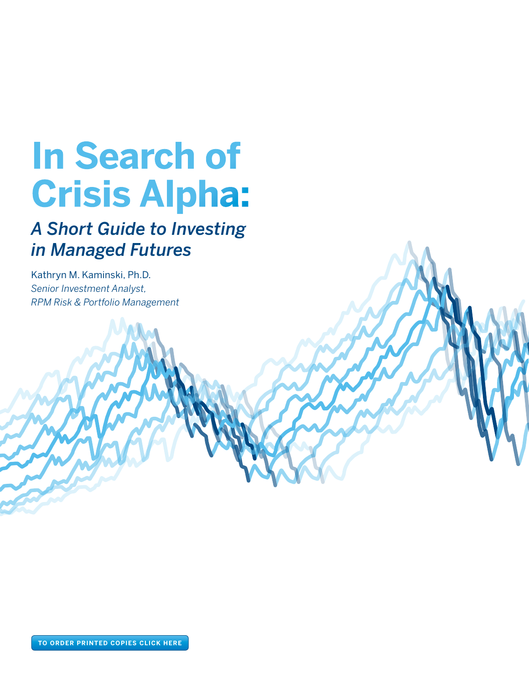# **In Search of Crisis Alpha:**

# *A Short Guide to Investing in Managed Futures*

Kathryn M. Kaminski, Ph.D. *Senior Investment Analyst, RPM Risk & Portfolio Management*

**To order printed copies click here**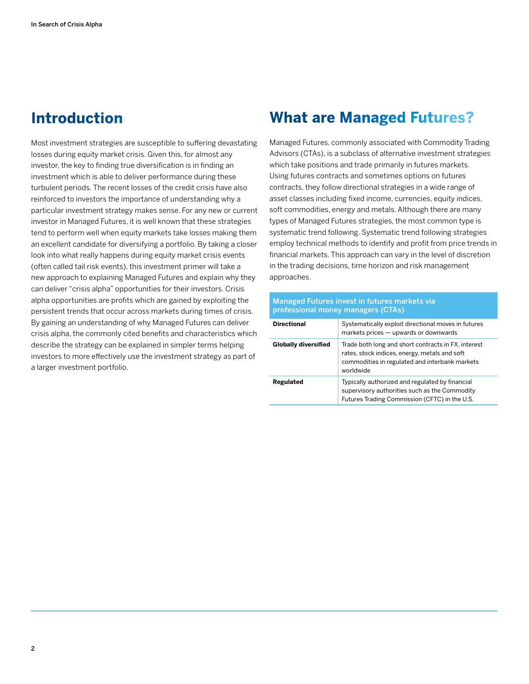# **Introduction**

Most investment strategies are susceptible to suffering devastating losses during equity market crisis. Given this, for almost any investor, the key to finding true diversification is in finding an investment which is able to deliver performance during these turbulent periods. The recent losses of the credit crisis have also reinforced to investors the importance of understanding why a particular investment strategy makes sense. For any new or current investor in Managed Futures, it is well known that these strategies tend to perform well when equity markets take losses making them an excellent candidate for diversifying a portfolio. By taking a closer look into what really happens during equity market crisis events (often called tail risk events), this investment primer will take a new approach to explaining Managed Futures and explain why they can deliver "crisis alpha" opportunities for their investors. Crisis alpha opportunities are profits which are gained by exploiting the persistent trends that occur across markets during times of crisis. By gaining an understanding of why Managed Futures can deliver crisis alpha, the commonly cited benefits and characteristics which describe the strategy can be explained in simpler terms helping investors to more effectively use the investment strategy as part of a larger investment portfolio.

## **What are Managed Futures?**

Managed Futures, commonly associated with Commodity Trading Advisors (CTAs), is a subclass of alternative investment strategies which take positions and trade primarily in futures markets. Using futures contracts and sometimes options on futures contracts, they follow directional strategies in a wide range of asset classes including fixed income, currencies, equity indices, soft commodities, energy and metals. Although there are many types of Managed Futures strategies, the most common type is systematic trend following. Systematic trend following strategies employ technical methods to identify and profit from price trends in financial markets. This approach can vary in the level of discretion in the trading decisions, time horizon and risk management approaches.

| Managed Futures invest in futures markets via<br>professional money managers (CTAs) |                                                                                                                                                                     |  |
|-------------------------------------------------------------------------------------|---------------------------------------------------------------------------------------------------------------------------------------------------------------------|--|
| <b>Directional</b>                                                                  | Systematically exploit directional moves in futures<br>markets prices - upwards or downwards                                                                        |  |
| <b>Globally diversified</b>                                                         | Trade both long and short contracts in FX, interest<br>rates, stock indices, energy, metals and soft<br>commodities in regulated and interbank markets<br>worldwide |  |
| Regulated                                                                           | Typically authorized and regulated by financial<br>supervisory authorities such as the Commodity<br>Futures Trading Commission (CFTC) in the U.S.                   |  |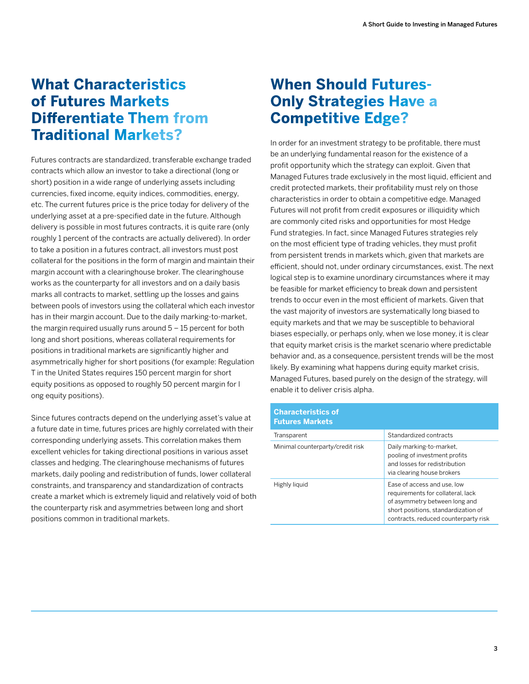## **What Characteristics of Futures Markets Differentiate Them from Traditional Markets?**

Futures contracts are standardized, transferable exchange traded contracts which allow an investor to take a directional (long or short) position in a wide range of underlying assets including currencies, fixed income, equity indices, commodities, energy, etc. The current futures price is the price today for delivery of the underlying asset at a pre-specified date in the future. Although delivery is possible in most futures contracts, it is quite rare (only roughly 1 percent of the contracts are actually delivered). In order to take a position in a futures contract, all investors must post collateral for the positions in the form of margin and maintain their margin account with a clearinghouse broker. The clearinghouse works as the counterparty for all investors and on a daily basis marks all contracts to market, settling up the losses and gains between pools of investors using the collateral which each investor has in their margin account. Due to the daily marking-to-market, the margin required usually runs around 5 – 15 percent for both long and short positions, whereas collateral requirements for positions in traditional markets are significantly higher and asymmetrically higher for short positions (for example: Regulation T in the United States requires 150 percent margin for short equity positions as opposed to roughly 50 percent margin for l ong equity positions).

Since futures contracts depend on the underlying asset's value at a future date in time, futures prices are highly correlated with their corresponding underlying assets. This correlation makes them excellent vehicles for taking directional positions in various asset classes and hedging. The clearinghouse mechanisms of futures markets, daily pooling and redistribution of funds, lower collateral constraints, and transparency and standardization of contracts create a market which is extremely liquid and relatively void of both the counterparty risk and asymmetries between long and short positions common in traditional markets.

## **When Should Futures-Only Strategies Have a Competitive Edge?**

In order for an investment strategy to be profitable, there must be an underlying fundamental reason for the existence of a profit opportunity which the strategy can exploit. Given that Managed Futures trade exclusively in the most liquid, efficient and credit protected markets, their profitability must rely on those characteristics in order to obtain a competitive edge. Managed Futures will not profit from credit exposures or illiquidity which are commonly cited risks and opportunities for most Hedge Fund strategies. In fact, since Managed Futures strategies rely on the most efficient type of trading vehicles, they must profit from persistent trends in markets which, given that markets are efficient, should not, under ordinary circumstances, exist. The next logical step is to examine unordinary circumstances where it may be feasible for market efficiency to break down and persistent trends to occur even in the most efficient of markets. Given that the vast majority of investors are systematically long biased to equity markets and that we may be susceptible to behavioral biases especially, or perhaps only, when we lose money, it is clear that equity market crisis is the market scenario where predictable behavior and, as a consequence, persistent trends will be the most likely. By examining what happens during equity market crisis, Managed Futures, based purely on the design of the strategy, will enable it to deliver crisis alpha.

## **Characteristics of Futures Markets** Transparent **Standardized contracts** Minimal counterparty/credit risk Daily marking-to-market,

|               | pooling of investment profits<br>and losses for redistribution<br>via clearing house brokers                                                                                     |
|---------------|----------------------------------------------------------------------------------------------------------------------------------------------------------------------------------|
| Highly liquid | Ease of access and use, low<br>requirements for collateral, lack<br>of asymmetry between long and<br>short positions, standardization of<br>contracts, reduced counterparty risk |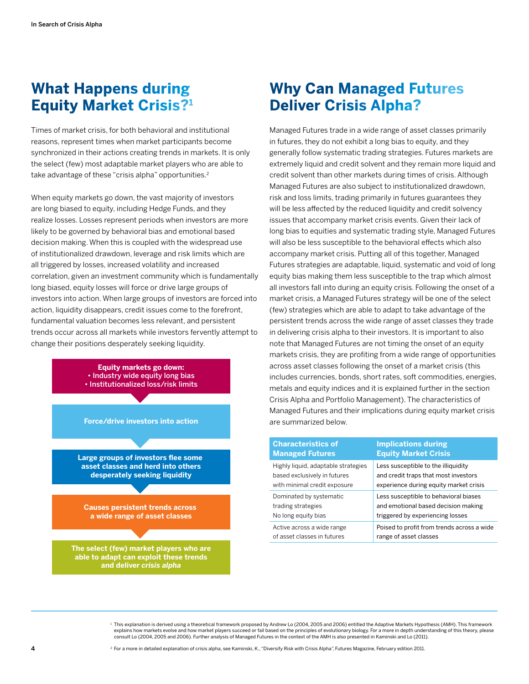## **What Happens during Equity Market Crisis?1**

Times of market crisis, for both behavioral and institutional reasons, represent times when market participants become synchronized in their actions creating trends in markets. It is only the select (few) most adaptable market players who are able to take advantage of these "crisis alpha" opportunities.<sup>2</sup>

When equity markets go down, the vast majority of investors are long biased to equity, including Hedge Funds, and they realize losses. Losses represent periods when investors are more likely to be governed by behavioral bias and emotional based decision making. When this is coupled with the widespread use of institutionalized drawdown, leverage and risk limits which are all triggered by losses, increased volatility and increased correlation, given an investment community which is fundamentally long biased, equity losses will force or drive large groups of investors into action. When large groups of investors are forced into action, liquidity disappears, credit issues come to the forefront, fundamental valuation becomes less relevant, and persistent trends occur across all markets while investors fervently attempt to change their positions desperately seeking liquidity.



## **Why Can Managed Futures Deliver Crisis Alpha?**

Managed Futures trade in a wide range of asset classes primarily in futures, they do not exhibit a long bias to equity, and they generally follow systematic trading strategies. Futures markets are extremely liquid and credit solvent and they remain more liquid and credit solvent than other markets during times of crisis. Although Managed Futures are also subject to institutionalized drawdown, risk and loss limits, trading primarily in futures guarantees they will be less affected by the reduced liquidity and credit solvency issues that accompany market crisis events. Given their lack of long bias to equities and systematic trading style, Managed Futures will also be less susceptible to the behavioral effects which also accompany market crisis. Putting all of this together, Managed Futures strategies are adaptable, liquid, systematic and void of long equity bias making them less susceptible to the trap which almost all investors fall into during an equity crisis. Following the onset of a market crisis, a Managed Futures strategy will be one of the select (few) strategies which are able to adapt to take advantage of the persistent trends across the wide range of asset classes they trade in delivering crisis alpha to their investors. It is important to also note that Managed Futures are not timing the onset of an equity markets crisis, they are profiting from a wide range of opportunities across asset classes following the onset of a market crisis (this includes currencies, bonds, short rates, soft commodities, energies, metals and equity indices and it is explained further in the section Crisis Alpha and Portfolio Management). The characteristics of Managed Futures and their implications during equity market crisis are summarized below.

| <b>Characteristics of</b>           | <b>Implications during</b>                 |
|-------------------------------------|--------------------------------------------|
| <b>Managed Futures</b>              | <b>Equity Market Crisis</b>                |
| Highly liquid, adaptable strategies | Less susceptible to the illiquidity        |
| based exclusively in futures        | and credit traps that most investors       |
| with minimal credit exposure        | experience during equity market crisis     |
| Dominated by systematic             | Less susceptible to behavioral biases      |
| trading strategies                  | and emotional based decision making        |
| No long equity bias                 | triggered by experiencing losses           |
| Active across a wide range          | Poised to profit from trends across a wide |
| of asset classes in futures         | range of asset classes                     |

<sup>1</sup> This explanation is derived using a theoretical framework proposed by Andrew Lo (2004, 2005 and 2006) entitled the Adaptive Markets Hypothesis (AMH). This framework explains how markets evolve and how market players succeed or fail based on the principles of evolutionary biology. For a more in depth understanding of this theory, please consult Lo (2004, 2005 and 2006). Further analysis of Managed Futures in the context of the AMH is also presented in Kaminski and Lo (2011).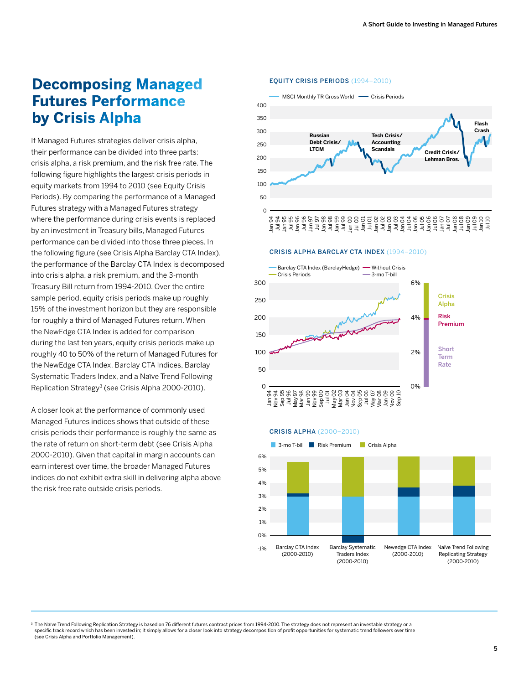## **Decomposing Managed Futures Performance by Crisis Alpha**

If Managed Futures strategies deliver crisis alpha, their performance can be divided into three parts: crisis alpha, a risk premium, and the risk free rate. The following figure highlights the largest crisis periods in equity markets from 1994 to 2010 (see Equity Crisis Periods). By comparing the performance of a Managed Futures strategy with a Managed Futures strategy where the performance during crisis events is replaced by an investment in Treasury bills, Managed Futures performance can be divided into those three pieces. In the following figure (see Crisis Alpha Barclay CTA Index), the performance of the Barclay CTA Index is decomposed into crisis alpha, a risk premium, and the 3-month Treasury Bill return from 1994-2010. Over the entire sample period, equity crisis periods make up roughly 15% of the investment horizon but they are responsible for roughly a third of Managed Futures return. When the NewEdge CTA Index is added for comparison during the last ten years, equity crisis periods make up roughly 40 to 50% of the return of Managed Futures for the NewEdge CTA Index, Barclay CTA Indices, Barclay Systematic Traders Index, and a Naïve Trend Following Replication Strategy<sup>3</sup> (see Crisis Alpha 2000-2010).

A closer look at the performance of commonly used Managed Futures indices shows that outside of these crisis periods their performance is roughly the same as the rate of return on short-term debt (see Crisis Alpha 2000-2010). Given that capital in margin accounts can earn interest over time, the broader Managed Futures indices do not exhibit extra skill in delivering alpha above the risk free rate outside crisis periods.

#### Equity Crisis Periods (1994–2010)



CRISIS ALPHA BARCLAY CTA INDEX (1994–2010)



#### CRISIS ALPHA (2000–2010)



<sup>3</sup> The Naïve Trend Following Replication Strategy is based on 76 different futures contract prices from 1994-2010. The strategy does not represent an investable strategy or a specific track record which has been invested in; it simply allows for a closer look into strategy decomposition of profit opportunities for systematic trend followers over time (see Crisis Alpha and Portfolio Management).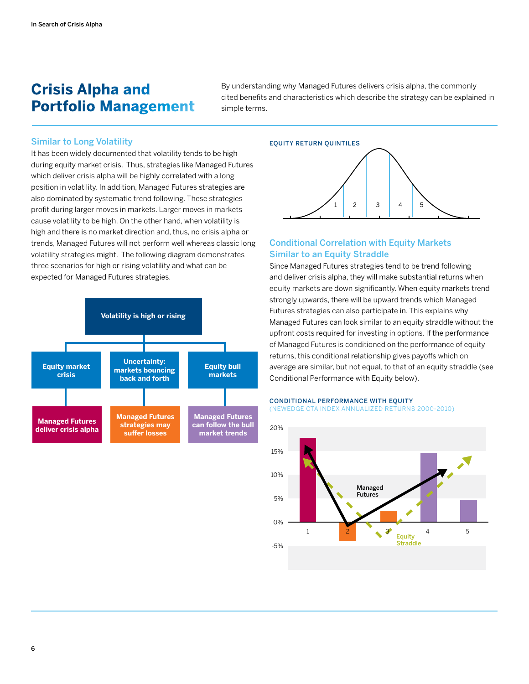## **Crisis Alpha and Portfolio Management**

By understanding why Managed Futures delivers crisis alpha, the commonly cited benefits and characteristics which describe the strategy can be explained in simple terms.

#### Similar to Long Volatility

It has been widely documented that volatility tends to be high during equity market crisis. Thus, strategies like Managed Futures which deliver crisis alpha will be highly correlated with a long position in volatility. In addition, Managed Futures strategies are also dominated by systematic trend following. These strategies profit during larger moves in markets. Larger moves in markets cause volatility to be high. On the other hand, when volatility is high and there is no market direction and, thus, no crisis alpha or trends, Managed Futures will not perform well whereas classic long volatility strategies might. The following diagram demonstrates three scenarios for high or rising volatility and what can be expected for Managed Futures strategies.





## Conditional Correlation with Equity Markets Similar to an Equity Straddle

Since Managed Futures strategies tend to be trend following and deliver crisis alpha, they will make substantial returns when equity markets are down significantly. When equity markets trend strongly upwards, there will be upward trends which Managed Futures strategies can also participate in. This explains why Managed Futures can look similar to an equity straddle without the upfront costs required for investing in options. If the performance of Managed Futures is conditioned on the performance of equity returns, this conditional relationship gives payoffs which on average are similar, but not equal, to that of an equity straddle (see Conditional Performance with Equity below).

#### **CONDITIONAL PERFORMANCE WITH EQUITY** (NEWEDGE CTA INDEX ANNUALIZED RETURNS 2000-2010)



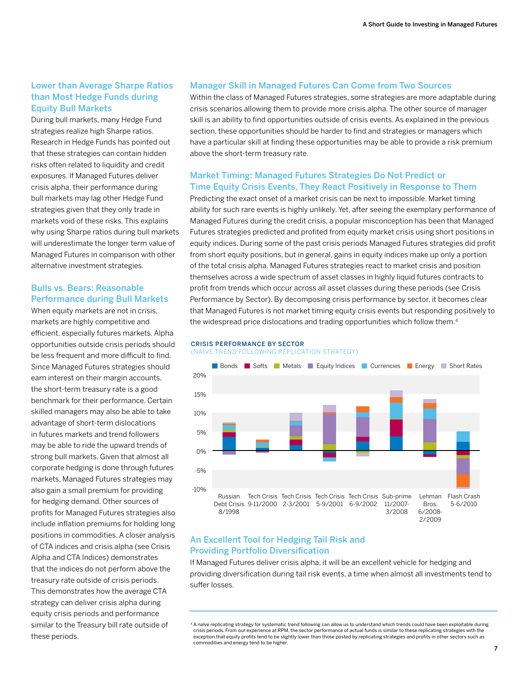#### Lower than Average Sharpe Ratios than Most Hedge Funds during Equity Bull Markets

During bull markets, many Hedge Fund strategies realize high Sharpe ratios. Research in Hedge Funds has pointed out that these strategies can contain hidden risks often related to liquidity and credit exposures. If Managed Futures deliver crisis alpha, their performance during bull markets may lag other Hedge Fund strategies given that they only trade in markets void of these risks. This explains why using Sharpe ratios during bull markets will underestimate the longer term value of Managed Futures in comparison with other alternative investment strategies.

## Bulls vs. Bears: Reasonable Performance during Bull Markets

When equity markets are not in crisis, markets are highly competitive and efficient, especially futures markets. Alpha opportunities outside crisis periods should be less frequent and more difficult to find. Since Managed Futures strategies should earn interest on their margin accounts, the short-term treasury rate is a good benchmark for their performance. Certain skilled managers may also be able to take advantage of short-term dislocations in futures markets and trend followers may be able to ride the upward trends of strong bull markets. Given that almost all corporate hedging is done through futures markets, Managed Futures strategies may also gain a small premium for providing for hedging demand. Other sources of profits for Managed Futures strategies also include inflation premiums for holding long positions in commodities. A closer analysis of CTA indices and crisis alpha (see Crisis Alpha and CTA Indices) demonstrates that the indices do not perform above the treasury rate outside of crisis periods. This demonstrates how the average CTA strategy can deliver crisis alpha during equity crisis periods and performance similar to the Treasury bill rate outside of these periods.

#### Manager Skill in Managed Futures Can Come from Two Sources

Within the class of Managed Futures strategies, some strategies are more adaptable during crisis scenarios allowing them to provide more crisis alpha. The other source of manager skill is an ability to find opportunities outside of crisis events. As explained in the previous section, these opportunities should be harder to find and strategies or managers which have a particular skill at finding these opportunities may be able to provide a risk premium above the short-term treasury rate.

#### Market Timing: Managed Futures Strategies Do Not Predict or Time Equity Crisis Events, They React Positively in Response to Them

Predicting the exact onset of a market crisis can be next to impossible. Market timing ability for such rare events is highly unlikely. Yet, after seeing the exemplary performance of Managed Futures during the credit crisis, a popular misconception has been that Managed Futures strategies predicted and profited from equity market crisis using short positions in equity indices. During some of the past crisis periods Managed Futures strategies did profit from short equity positions, but in general, gains in equity indices make up only a portion of the total crisis alpha. Managed Futures strategies react to market crisis and position themselves across a wide spectrum of asset classes in highly liquid futures contracts to profit from trends which occur across all asset classes during these periods (see Crisis Performance by Sector). By decomposing crisis performance by sector, it becomes clear that Managed Futures is not market timing equity crisis events but responding positively to the widespread price dislocations and trading opportunities which follow them.<sup>4</sup>

#### CRISIS PERFORMANCE BY SECTOR (NAÏVE TREND FOLLOWING REPLICATION STRATEGY)



#### An Excellent Tool for Hedging Tail Risk and Providing Portfolio Diversification

If Managed Futures deliver crisis alpha, it will be an excellent vehicle for hedging and providing diversification during tail risk events, a time when almost all investments tend to suffer losses.

<sup>4</sup> A naïve replicating strategy for systematic trend following can allow us to understand which trends could have been exploitable during crisis periods. From our experience at RPM, the sector performance of actual funds is similar to these replicating strategies with the exception that equity profits tend to be slightly lower than those posted by replicating strategies and profits in other sectors such as commodities and energy tend to be higher.